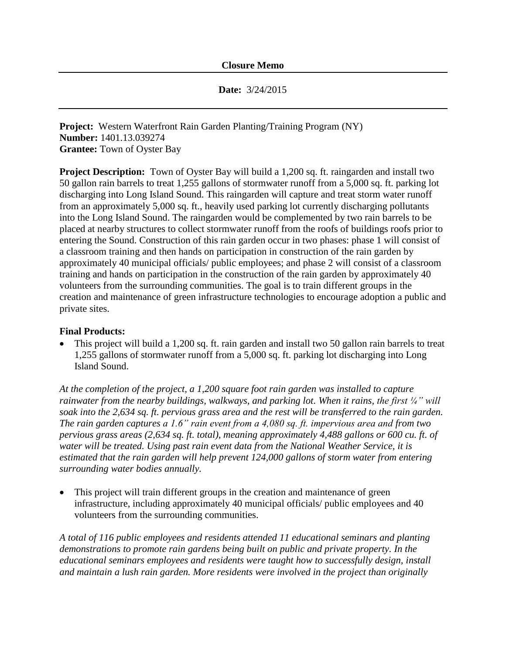**Date:** 3/24/2015

**Project:** Western Waterfront Rain Garden Planting/Training Program (NY) **Number:** 1401.13.039274 **Grantee:** Town of Oyster Bay

**Project Description:** Town of Oyster Bay will build a 1,200 sq. ft. raingarden and install two 50 gallon rain barrels to treat 1,255 gallons of stormwater runoff from a 5,000 sq. ft. parking lot discharging into Long Island Sound. This raingarden will capture and treat storm water runoff from an approximately 5,000 sq. ft., heavily used parking lot currently discharging pollutants into the Long Island Sound. The raingarden would be complemented by two rain barrels to be placed at nearby structures to collect stormwater runoff from the roofs of buildings roofs prior to entering the Sound. Construction of this rain garden occur in two phases: phase 1 will consist of a classroom training and then hands on participation in construction of the rain garden by approximately 40 municipal officials/ public employees; and phase 2 will consist of a classroom training and hands on participation in the construction of the rain garden by approximately 40 volunteers from the surrounding communities. The goal is to train different groups in the creation and maintenance of green infrastructure technologies to encourage adoption a public and private sites.

## **Final Products:**

 This project will build a 1,200 sq. ft. rain garden and install two 50 gallon rain barrels to treat 1,255 gallons of stormwater runoff from a 5,000 sq. ft. parking lot discharging into Long Island Sound.

*At the completion of the project, a 1,200 square foot rain garden was installed to capture rainwater from the nearby buildings, walkways, and parking lot. When it rains, the first ¼" will soak into the 2,634 sq. ft. pervious grass area and the rest will be transferred to the rain garden. The rain garden captures a 1.6" rain event from a 4,080 sq. ft. impervious area and from two pervious grass areas (2,634 sq. ft. total), meaning approximately 4,488 gallons or 600 cu. ft. of water will be treated. Using past rain event data from the National Weather Service, it is estimated that the rain garden will help prevent 124,000 gallons of storm water from entering surrounding water bodies annually.*

 This project will train different groups in the creation and maintenance of green infrastructure, including approximately 40 municipal officials/ public employees and 40 volunteers from the surrounding communities.

*A total of 116 public employees and residents attended 11 educational seminars and planting demonstrations to promote rain gardens being built on public and private property. In the educational seminars employees and residents were taught how to successfully design, install and maintain a lush rain garden. More residents were involved in the project than originally*